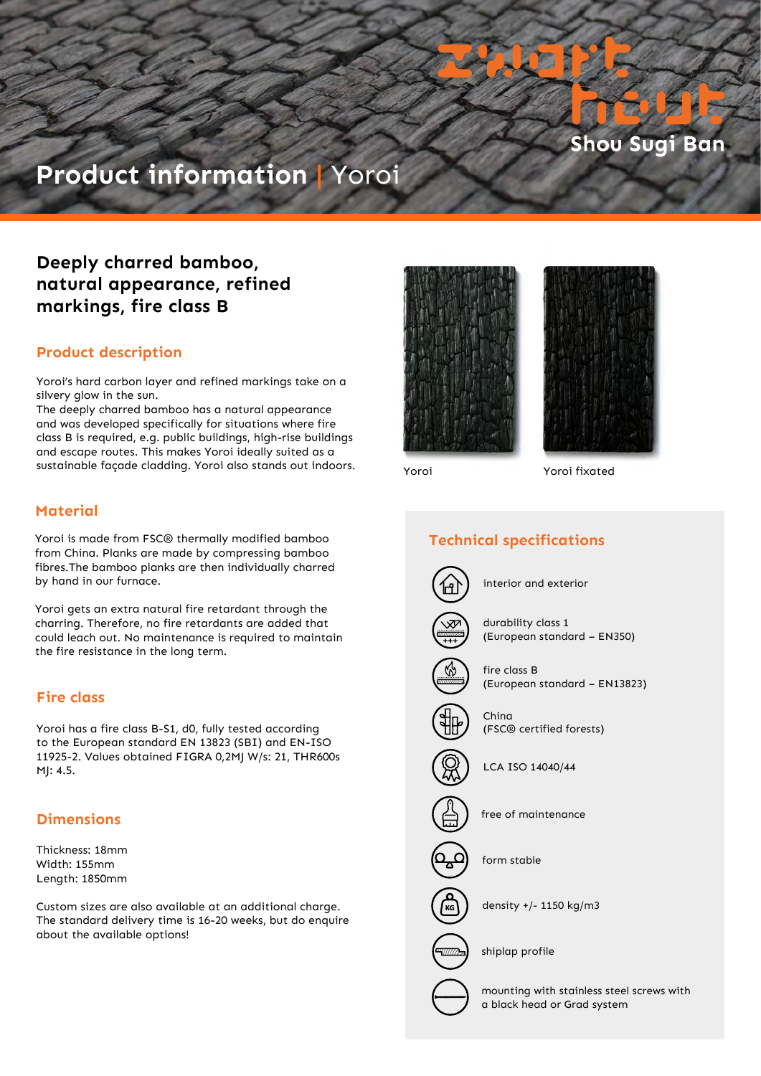# **Shou Sugi Ban**

# **Product information |** Yoroi

## **Deeply charred bamboo, natural appearance, refined markings, fire class B**

#### **Product description**

Yoroi's hard carbon layer and refined markings take on a silvery glow in the sun.

The deeply charred bamboo has a natural appearance and was developed specifically for situations where fire class B is required, e.g. public buildings, high-rise buildings and escape routes. This makes Yoroi ideally suited as a sustainable façade cladding. Yoroi also stands out indoors.

#### **Material**

Yoroi is made from FSC® thermally modified bamboo from China. Planks are made by compressing bamboo fibres.The bamboo planks are then individually charred by hand in our furnace.

Yoroi gets an extra natural fire retardant through the charring. Therefore, no fire retardants are added that could leach out. No maintenance is required to maintain the fire resistance in the long term.

#### **Fire class**

Yoroi has a fire class B-S1, d0, fully tested according to the European standard EN 13823 (SBI) and EN-ISO 11925-2. Values obtained FIGRA 0,2MJ W/s: 21, THR600s MJ: 4.5.

#### **Dimensions**

Thickness: 18mm Width: 155mm Length: 1850mm

Custom sizes are also available at an additional charge. The standard delivery time is 16-20 weeks, but do enquire about the available options!





Yoroi Yoroi fixated

### **Technical specifications**

durability class 1

interior and exterior

fire class B



China (FSC® certified forests)

(European standard – EN350)

(European standard – EN13823)



LCA ISO 14040/44

free of maintenance

form stable



density +/- 1150 kg/m3

shiplap profile

mounting with stainless steel screws with a black head or Grad system